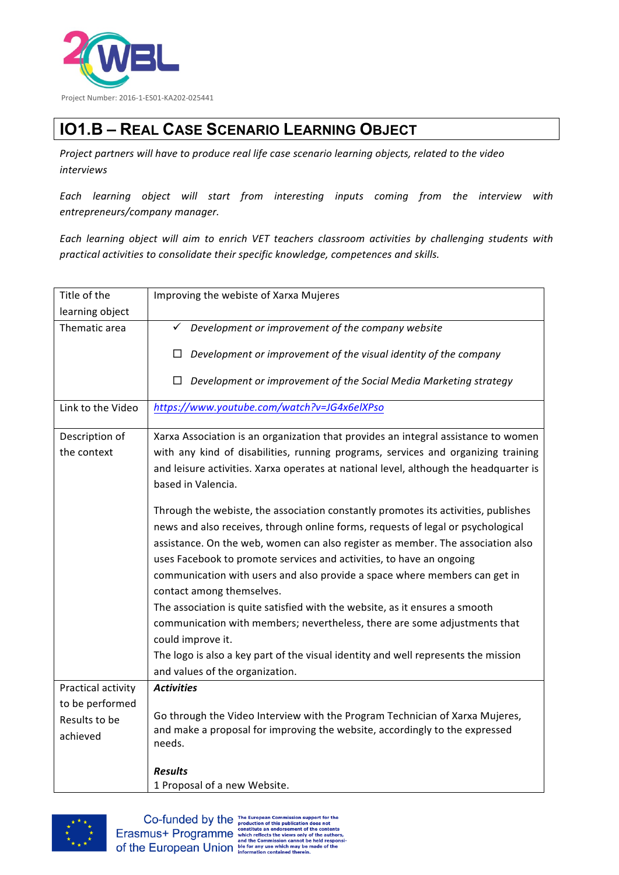

## **IO1.B – REAL CASE SCENARIO LEARNING OBJECT**

Project partners will have to produce real life case scenario learning objects, related to the video *interviews*

*Each learning object will start from interesting inputs coming from the interview with entrepreneurs/company manager.*

Each learning object will aim to enrich VET teachers classroom activities by challenging students with *practical activities to consolidate their specific knowledge, competences and skills.*

| Title of the       | Improving the webiste of Xarxa Mujeres                                                |
|--------------------|---------------------------------------------------------------------------------------|
| learning object    |                                                                                       |
| Thematic area      | Development or improvement of the company website<br>✓                                |
|                    | Development or improvement of the visual identity of the company<br>□                 |
|                    | Development or improvement of the Social Media Marketing strategy<br>$\Box$           |
| Link to the Video  | https://www.youtube.com/watch?v=JG4x6elXPso                                           |
| Description of     | Xarxa Association is an organization that provides an integral assistance to women    |
| the context        | with any kind of disabilities, running programs, services and organizing training     |
|                    | and leisure activities. Xarxa operates at national level, although the headquarter is |
|                    | based in Valencia.                                                                    |
|                    |                                                                                       |
|                    | Through the webiste, the association constantly promotes its activities, publishes    |
|                    | news and also receives, through online forms, requests of legal or psychological      |
|                    | assistance. On the web, women can also register as member. The association also       |
|                    | uses Facebook to promote services and activities, to have an ongoing                  |
|                    | communication with users and also provide a space where members can get in            |
|                    | contact among themselves.                                                             |
|                    | The association is quite satisfied with the website, as it ensures a smooth           |
|                    | communication with members; nevertheless, there are some adjustments that             |
|                    | could improve it.                                                                     |
|                    | The logo is also a key part of the visual identity and well represents the mission    |
|                    | and values of the organization.                                                       |
| Practical activity | <b>Activities</b>                                                                     |
| to be performed    | Go through the Video Interview with the Program Technician of Xarxa Mujeres,          |
| Results to be      | and make a proposal for improving the website, accordingly to the expressed           |
| achieved           | needs.                                                                                |
|                    |                                                                                       |
|                    | <b>Results</b>                                                                        |
|                    | 1 Proposal of a new Website.                                                          |